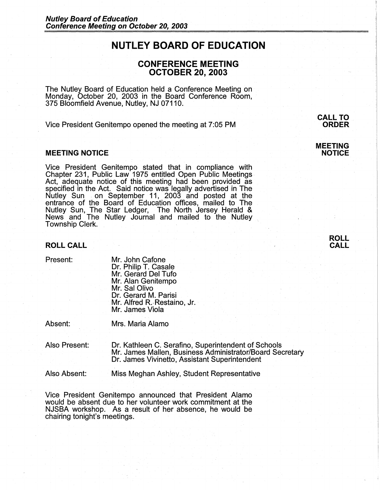# **NUTLEY BOARD OF EDUCATION**

# **CONFERENCE MEETING OCTOBER 20, 2003**

The Nutley Board of Education held a Conference Meeting on Monday, October 20, 2003 in the Board Conference Room, 375 Bloomfield Avenue, Nutley, NJ 07110.

Vice President Genitempo opened the meeting at 7:05 PM

## **MEETING NOTICE**

Vice President Genitempo stated that in compliance with Chapter 231, Public Law 1975 entitled Open Public Meetings Act, adequate notice of this meeting had been provided as specified in the Act. Said notice was legally advertised in The Nutley Sun on September 11, 2003 and posted at the entrance of the Board of Education offices, mailed to The Nutley Sun, The Star Ledger, The North Jersey Herald & News and The Nutley Journal and mailed to the Nutley Township Clerk.

#### **ROLL CALL**

Present:

Mr. John Catone Dr. Philip T. Casale Mr. Gerard Del Tufo Mr. Alan Genitempo Mr. Sal Olivo Dr. Gerard M. Parisi Mr. Alfred R.-Restaino, Jr. Mr. James Viola

Absent:

Mrs. Maria Alamo

Also Present: Dr. Kathleen C. Serafino, Superintendent of Schools Mr. James Mallen, Business Administrator/Board Secretary Dr. James Vivinetto, Assistant Superintendent

Also Absent: Miss Meghan Ashley, Student Representative

Vice President Genitempo announced that President Alamo would be absent due to her volunteer work commitment at the NJSBA workshop. As a result of her absence, he would be chairing tonight's meetings.

**CALL TO ORDER** 

**MEETING NOTICE**